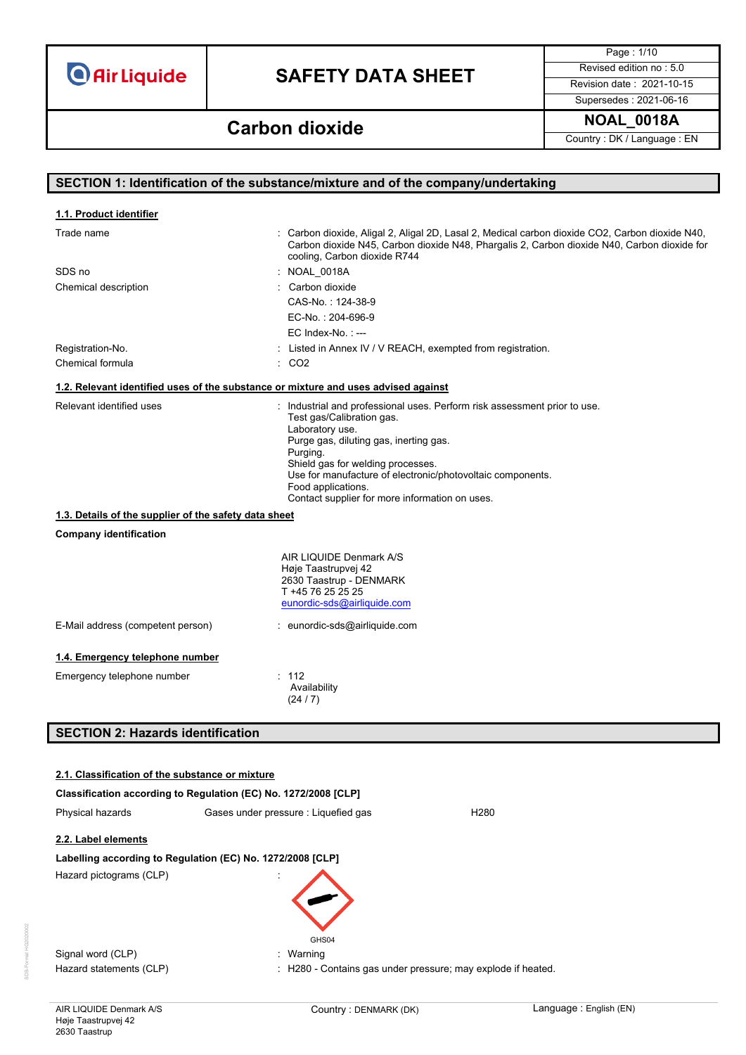## **SAFETY DATA SHEET** Revised edition no : 5.0

Page : 1/10

**NOAL\_0018A Carbon dioxide**

Supersedes : 2021-06-16

Country : DK / Language : EN

### **SECTION 1: Identification of the substance/mixture and of the company/undertaking** Trade name **in the state of the CO2**, Carbon dioxide, Aligal 2, Aligal 2D, Lasal 2, Medical carbon dioxide CO2, Carbon dioxide N40, Carbon dioxide N45, Carbon dioxide N48, Phargalis 2, Carbon dioxide N40, Carbon dioxide for cooling, Carbon dioxide R744 SDS no : NOAL\_0018A Chemical description **in the Carbon distribution** of the Carbon dioxide CAS-No. : 124-38-9 EC-No. : 204-696-9 EC Index-No.: ---Registration-No. **In a construct in Annex IV / V REACH, exempted from registration.** Chemical formula : CO2 Relevant identified uses **industrial and professional uses**. Perform risk assessment prior to use. Test gas/Calibration gas. Laboratory use. Purge gas, diluting gas, inerting gas. Purging. Shield gas for welding processes. Use for manufacture of electronic/photovoltaic components. Food applications. Contact supplier for more information on uses. **Company identification** AIR LIQUIDE Denmark A/S Høje Taastrupvej 42 2630 Taastrup - DENMARK T +45 76 25 25 25 [eunordic-sds@airliquide.com](mailto:eunordic-sds@airliquide.com) E-Mail address (competent person) : eunordic-sds@airliquide.com **1.4. Emergency telephone number** Emergency telephone number : 112 Availability (24 / 7) **SECTION 2: Hazards identification Classification according to Regulation (EC) No. 1272/2008 [CLP]** Physical hazards Gases under pressure : Liquefied gas FIZ80 **1.1. Product identifier 1.2. Relevant identified uses of the substance or mixture and uses advised against 1.3. Details of the supplier of the safety data sheet 2.1. Classification of the substance or mixture**

**2.2. Label elements**

### **Labelling according to Regulation (EC) No. 1272/2008 [CLP]**

Hazard pictograms (CLP) :



Signal word (CLP)  $\qquad \qquad$ : Warning

Hazard statements (CLP) : H280 - Contains gas under pressure; may explode if heated.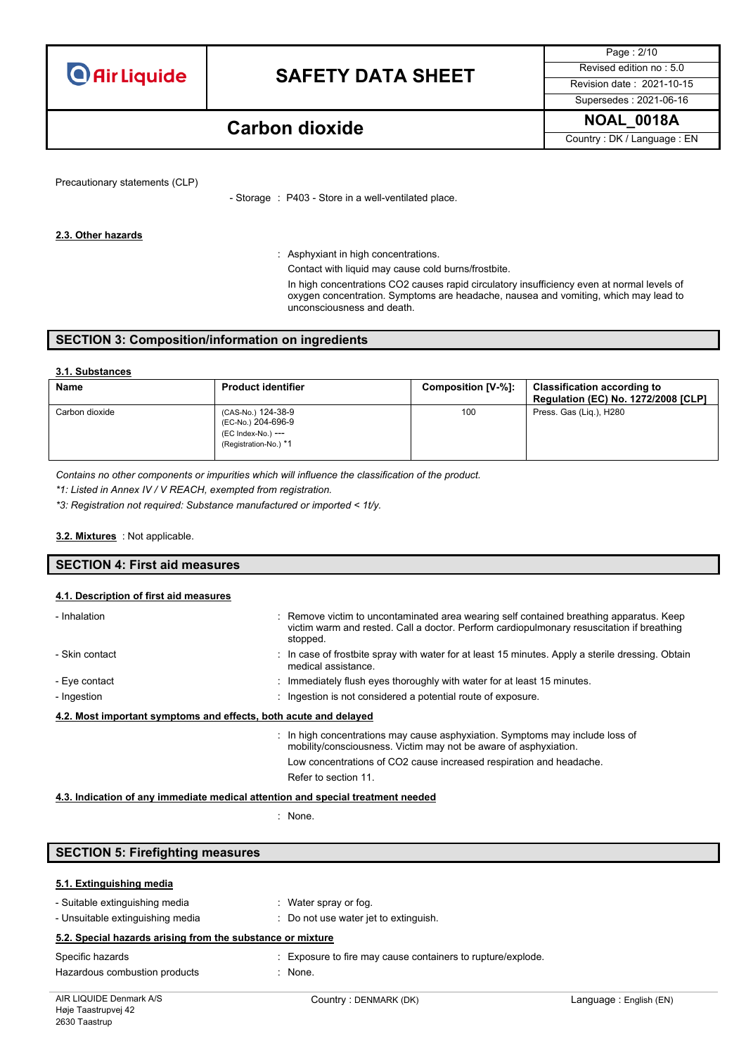

Supersedes : 2021-06-16

Page : 2/10

### **NOAL\_0018A Carbon dioxide**

Country : DK / Language : EN

Precautionary statements (CLP)

- Storage : P403 - Store in a well-ventilated place.

#### **2.3. Other hazards**

: Asphyxiant in high concentrations.

Contact with liquid may cause cold burns/frostbite.

In high concentrations CO2 causes rapid circulatory insufficiency even at normal levels of oxygen concentration. Symptoms are headache, nausea and vomiting, which may lead to unconsciousness and death.

#### **SECTION 3: Composition/information on ingredients**

#### **3.1. Substances**

| <b>Name</b>    | <b>Product identifier</b>                                                               | Composition [V-%]: | <b>Classification according to</b><br><b>Regulation (EC) No. 1272/2008 [CLP]</b> |
|----------------|-----------------------------------------------------------------------------------------|--------------------|----------------------------------------------------------------------------------|
| Carbon dioxide | (CAS-No.) 124-38-9<br>(EC-No.) 204-696-9<br>(EC Index-No.) ---<br>(Registration-No.) *1 | 100                | Press. Gas (Lig.), H280                                                          |

*Contains no other components or impurities which will influence the classification of the product.*

*\*1: Listed in Annex IV / V REACH, exempted from registration.*

*\*3: Registration not required: Substance manufactured or imported < 1t/y.*

#### : Not applicable. **3.2. Mixtures**

### **SECTION 4: First aid measures 4.1. Description of first aid measures**

| - Inhalation                                                     | : Remove victim to uncontaminated area wearing self contained breathing apparatus. Keep<br>victim warm and rested. Call a doctor. Perform cardiopulmonary resuscitation if breathing<br>stopped. |
|------------------------------------------------------------------|--------------------------------------------------------------------------------------------------------------------------------------------------------------------------------------------------|
| - Skin contact                                                   | : In case of frostbite spray with water for at least 15 minutes. Apply a sterile dressing. Obtain<br>medical assistance.                                                                         |
| - Eye contact                                                    | $\therefore$ Immediately flush eyes thoroughly with water for at least 15 minutes.                                                                                                               |
| - Ingestion                                                      | : Ingestion is not considered a potential route of exposure.                                                                                                                                     |
| 4.2. Most important symptoms and effects, both acute and delayed |                                                                                                                                                                                                  |
|                                                                  | : In high concentrations may cause asphyxiation. Symptoms may include loss of<br>mobility/consciousness. Victim may not be aware of asphyxiation.                                                |
|                                                                  | Low concentrations of CO2 cause increased respiration and headache.                                                                                                                              |
|                                                                  | Refer to section 11.                                                                                                                                                                             |

#### **4.3. Indication of any immediate medical attention and special treatment needed**

: None.

### **SECTION 5: Firefighting measures**

### **5.1. Extinguishing media**

| - Suitable extinguishing media                             | $\therefore$ Water spray or fog.                            |
|------------------------------------------------------------|-------------------------------------------------------------|
| - Unsuitable extinguishing media                           | Do not use water jet to extinguish.                         |
| 5.2. Special hazards arising from the substance or mixture |                                                             |
| Specific hazards                                           | : Exposure to fire may cause containers to rupture/explode. |
| Hazardous combustion products                              | : None.                                                     |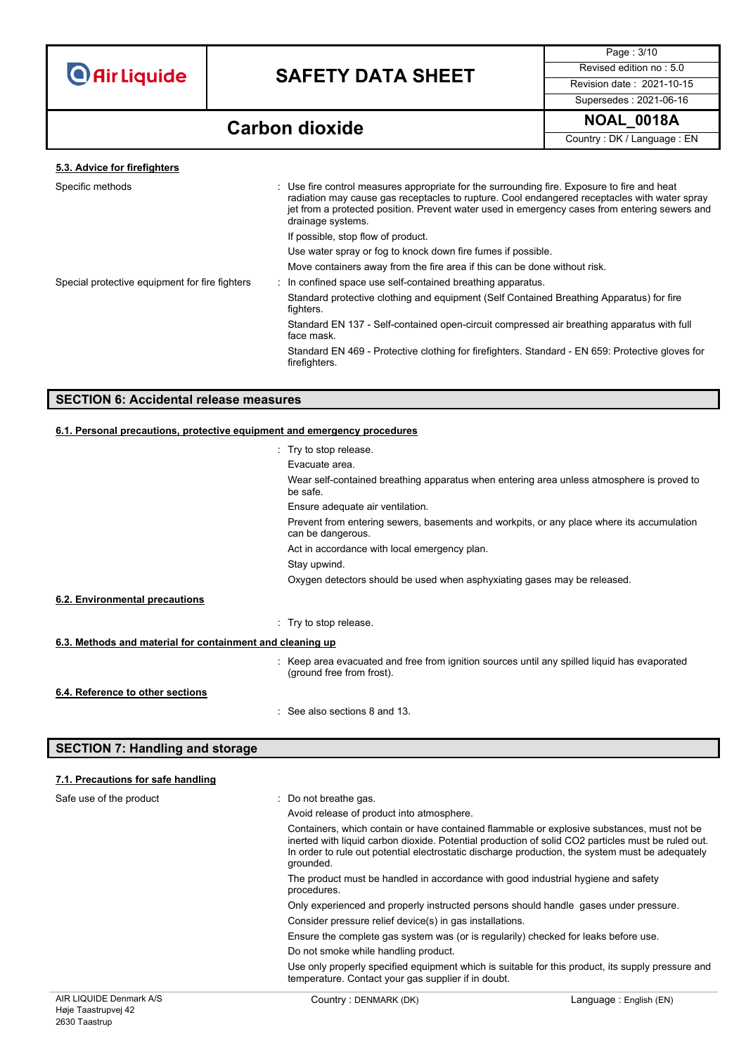

Page : 3/10 Supersedes : 2021-06-16

### **Carbon dioxide NOAL\_0018A**

Country : DK / Language : EN

#### **5.3. Advice for firefighters**

| Specific methods                               | : Use fire control measures appropriate for the surrounding fire. Exposure to fire and heat<br>radiation may cause gas receptacles to rupture. Cool endangered receptacles with water spray<br>jet from a protected position. Prevent water used in emergency cases from entering sewers and<br>drainage systems. |
|------------------------------------------------|-------------------------------------------------------------------------------------------------------------------------------------------------------------------------------------------------------------------------------------------------------------------------------------------------------------------|
|                                                | If possible, stop flow of product.                                                                                                                                                                                                                                                                                |
|                                                | Use water spray or fog to knock down fire fumes if possible.                                                                                                                                                                                                                                                      |
|                                                | Move containers away from the fire area if this can be done without risk.                                                                                                                                                                                                                                         |
| Special protective equipment for fire fighters | : In confined space use self-contained breathing apparatus.                                                                                                                                                                                                                                                       |
|                                                | Standard protective clothing and equipment (Self Contained Breathing Apparatus) for fire<br>fighters.                                                                                                                                                                                                             |
|                                                | Standard EN 137 - Self-contained open-circuit compressed air breathing apparatus with full<br>face mask.                                                                                                                                                                                                          |
|                                                | Standard EN 469 - Protective clothing for firefighters. Standard - EN 659: Protective gloves for<br>firefighters.                                                                                                                                                                                                 |
|                                                |                                                                                                                                                                                                                                                                                                                   |

### **SECTION 6: Accidental release measures**

#### **6.1. Personal precautions, protective equipment and emergency procedures**

|                                                           | : Try to stop release.                                                                                                    |
|-----------------------------------------------------------|---------------------------------------------------------------------------------------------------------------------------|
|                                                           | Evacuate area.                                                                                                            |
|                                                           | Wear self-contained breathing apparatus when entering area unless atmosphere is proved to<br>be safe.                     |
|                                                           | Ensure adequate air ventilation.                                                                                          |
|                                                           | Prevent from entering sewers, basements and workpits, or any place where its accumulation<br>can be dangerous.            |
|                                                           | Act in accordance with local emergency plan.                                                                              |
|                                                           | Stay upwind.                                                                                                              |
|                                                           | Oxygen detectors should be used when asphyxiating gases may be released.                                                  |
| 6.2. Environmental precautions                            |                                                                                                                           |
|                                                           | : Try to stop release.                                                                                                    |
| 6.3. Methods and material for containment and cleaning up |                                                                                                                           |
|                                                           | : Keep area evacuated and free from ignition sources until any spilled liquid has evaporated<br>(ground free from frost). |
| 6.4. Reference to other sections                          |                                                                                                                           |
|                                                           | : See also sections 8 and 13.                                                                                             |

### **SECTION 7: Handling and storage**

### **7.1. Precautions for safe handling**

|                         | temperature. Contact your gas supplier if in doubt.                                                                                                                                                                                                                                                               | Use only properly specified equipment which is suitable for this product, its supply pressure and |
|-------------------------|-------------------------------------------------------------------------------------------------------------------------------------------------------------------------------------------------------------------------------------------------------------------------------------------------------------------|---------------------------------------------------------------------------------------------------|
|                         | Do not smoke while handling product.                                                                                                                                                                                                                                                                              |                                                                                                   |
|                         | Ensure the complete gas system was (or is regularily) checked for leaks before use.                                                                                                                                                                                                                               |                                                                                                   |
|                         | Consider pressure relief device(s) in gas installations.                                                                                                                                                                                                                                                          |                                                                                                   |
|                         | Only experienced and properly instructed persons should handle gases under pressure.                                                                                                                                                                                                                              |                                                                                                   |
|                         | The product must be handled in accordance with good industrial hygiene and safety<br>procedures.                                                                                                                                                                                                                  |                                                                                                   |
|                         | Containers, which contain or have contained flammable or explosive substances, must not be<br>inerted with liquid carbon dioxide. Potential production of solid CO2 particles must be ruled out.<br>In order to rule out potential electrostatic discharge production, the system must be adequately<br>grounded. |                                                                                                   |
|                         | Avoid release of product into atmosphere.                                                                                                                                                                                                                                                                         |                                                                                                   |
| Safe use of the product | : Do not breathe gas.                                                                                                                                                                                                                                                                                             |                                                                                                   |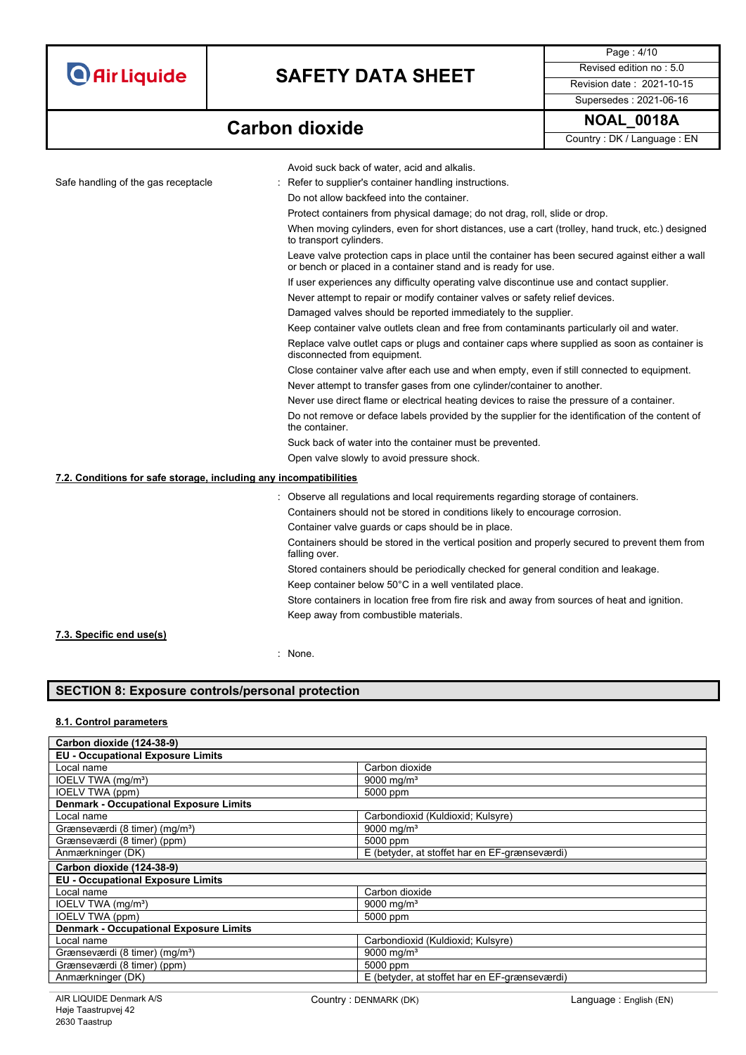# **SAFETY DATA SHEET** Revised edition no : 5.0

Supersedes : 2021-06-16

Page : 4/10

**Carbon dioxide NOAL\_0018A** 

Country : DK / Language : EN

|                                                                   | Avoid suck back of water, acid and alkalis.                                                                                                                      |
|-------------------------------------------------------------------|------------------------------------------------------------------------------------------------------------------------------------------------------------------|
| Safe handling of the gas receptacle                               | Refer to supplier's container handling instructions.                                                                                                             |
|                                                                   | Do not allow backfeed into the container.                                                                                                                        |
|                                                                   | Protect containers from physical damage; do not drag, roll, slide or drop.                                                                                       |
|                                                                   | When moving cylinders, even for short distances, use a cart (trolley, hand truck, etc.) designed<br>to transport cylinders.                                      |
|                                                                   | Leave valve protection caps in place until the container has been secured against either a wall<br>or bench or placed in a container stand and is ready for use. |
|                                                                   | If user experiences any difficulty operating valve discontinue use and contact supplier.                                                                         |
|                                                                   | Never attempt to repair or modify container valves or safety relief devices.                                                                                     |
|                                                                   | Damaged valves should be reported immediately to the supplier.                                                                                                   |
|                                                                   | Keep container valve outlets clean and free from contaminants particularly oil and water.                                                                        |
|                                                                   | Replace valve outlet caps or plugs and container caps where supplied as soon as container is<br>disconnected from equipment.                                     |
|                                                                   | Close container valve after each use and when empty, even if still connected to equipment.                                                                       |
|                                                                   | Never attempt to transfer gases from one cylinder/container to another.                                                                                          |
|                                                                   | Never use direct flame or electrical heating devices to raise the pressure of a container.                                                                       |
|                                                                   | Do not remove or deface labels provided by the supplier for the identification of the content of<br>the container.                                               |
|                                                                   | Suck back of water into the container must be prevented.                                                                                                         |
|                                                                   | Open valve slowly to avoid pressure shock.                                                                                                                       |
| 7.2. Conditions for safe storage, including any incompatibilities |                                                                                                                                                                  |
|                                                                   | : Observe all regulations and local requirements regarding storage of containers.                                                                                |
|                                                                   | Containers should not be stored in conditions likely to encourage corrosion.                                                                                     |
|                                                                   | Container valve guards or caps should be in place.                                                                                                               |
|                                                                   | Containers should be stored in the vertical position and properly secured to prevent them from<br>falling over.                                                  |
|                                                                   | Stored containers should be periodically checked for general condition and leakage.                                                                              |
|                                                                   | Keep container below 50°C in a well ventilated place.                                                                                                            |
|                                                                   | Store containers in location free from fire risk and away from sources of heat and ignition.                                                                     |
|                                                                   | Keep away from combustible materials.                                                                                                                            |
|                                                                   |                                                                                                                                                                  |

#### **7.3. Specific end use(s)**

: None.

### **SECTION 8: Exposure controls/personal protection**

### **8.1. Control parameters**

| Carbon dioxide (124-38-9)                     |                                               |
|-----------------------------------------------|-----------------------------------------------|
| <b>EU - Occupational Exposure Limits</b>      |                                               |
| Local name                                    | Carbon dioxide                                |
| IOELV TWA (mg/m <sup>3</sup> )                | 9000 mg/m <sup>3</sup>                        |
| IOELV TWA (ppm)                               | 5000 ppm                                      |
| <b>Denmark - Occupational Exposure Limits</b> |                                               |
| Local name                                    | Carbondioxid (Kuldioxid; Kulsyre)             |
| Grænseværdi (8 timer) (mg/m <sup>3</sup> )    | 9000 mg/m <sup>3</sup>                        |
| Grænseværdi (8 timer) (ppm)                   | 5000 ppm                                      |
| Anmærkninger (DK)                             | E (betyder, at stoffet har en EF-grænseværdi) |
| Carbon dioxide (124-38-9)                     |                                               |
| <b>EU - Occupational Exposure Limits</b>      |                                               |
| Local name                                    | Carbon dioxide                                |
| IOELV TWA (mg/m <sup>3</sup> )                | 9000 mg/m <sup>3</sup>                        |
| IOELV TWA (ppm)                               | 5000 ppm                                      |
| <b>Denmark - Occupational Exposure Limits</b> |                                               |
| Local name                                    | Carbondioxid (Kuldioxid; Kulsyre)             |
| Grænseværdi (8 timer) (mg/m <sup>3</sup> )    | 9000 mg/m <sup>3</sup>                        |
| Grænseværdi (8 timer) (ppm)                   | 5000 ppm                                      |
| Anmærkninger (DK)                             | E (betyder, at stoffet har en EF-grænseværdi) |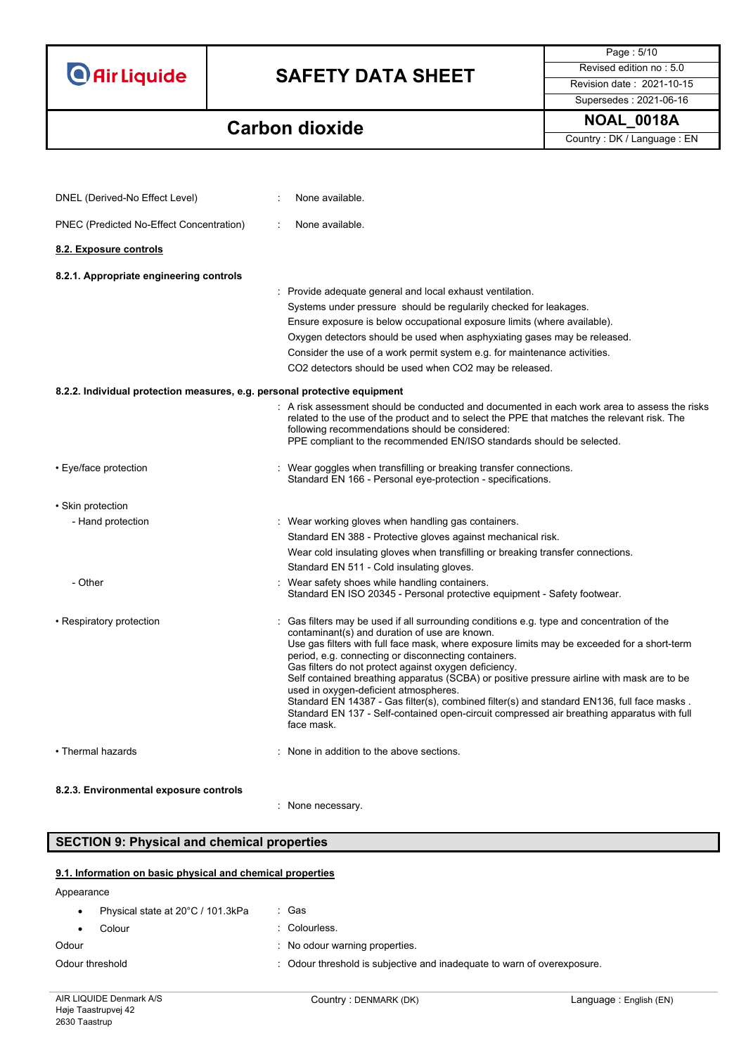# **SAFETY DATA SHEET** Revised edition no : 5.0

Supersedes : 2021-06-16

Page : 5/10

## **Carbon dioxide NOAL\_0018A**

Country : DK / Language : EN

| DNEL (Derived-No Effect Level)                                            | None available.                                                                                                                                                                                                                                                                                                                                                                                                                                                                                                                                                                                                                                                                                                         |
|---------------------------------------------------------------------------|-------------------------------------------------------------------------------------------------------------------------------------------------------------------------------------------------------------------------------------------------------------------------------------------------------------------------------------------------------------------------------------------------------------------------------------------------------------------------------------------------------------------------------------------------------------------------------------------------------------------------------------------------------------------------------------------------------------------------|
| PNEC (Predicted No-Effect Concentration)                                  | None available.                                                                                                                                                                                                                                                                                                                                                                                                                                                                                                                                                                                                                                                                                                         |
| 8.2. Exposure controls                                                    |                                                                                                                                                                                                                                                                                                                                                                                                                                                                                                                                                                                                                                                                                                                         |
| 8.2.1. Appropriate engineering controls                                   |                                                                                                                                                                                                                                                                                                                                                                                                                                                                                                                                                                                                                                                                                                                         |
|                                                                           | : Provide adequate general and local exhaust ventilation.                                                                                                                                                                                                                                                                                                                                                                                                                                                                                                                                                                                                                                                               |
|                                                                           | Systems under pressure should be regularily checked for leakages.                                                                                                                                                                                                                                                                                                                                                                                                                                                                                                                                                                                                                                                       |
|                                                                           | Ensure exposure is below occupational exposure limits (where available).                                                                                                                                                                                                                                                                                                                                                                                                                                                                                                                                                                                                                                                |
|                                                                           | Oxygen detectors should be used when asphyxiating gases may be released.                                                                                                                                                                                                                                                                                                                                                                                                                                                                                                                                                                                                                                                |
|                                                                           | Consider the use of a work permit system e.g. for maintenance activities.                                                                                                                                                                                                                                                                                                                                                                                                                                                                                                                                                                                                                                               |
|                                                                           | CO2 detectors should be used when CO2 may be released.                                                                                                                                                                                                                                                                                                                                                                                                                                                                                                                                                                                                                                                                  |
| 8.2.2. Individual protection measures, e.g. personal protective equipment |                                                                                                                                                                                                                                                                                                                                                                                                                                                                                                                                                                                                                                                                                                                         |
|                                                                           | : A risk assessment should be conducted and documented in each work area to assess the risks<br>related to the use of the product and to select the PPE that matches the relevant risk. The<br>following recommendations should be considered:<br>PPE compliant to the recommended EN/ISO standards should be selected.                                                                                                                                                                                                                                                                                                                                                                                                 |
| • Eye/face protection                                                     | : Wear goggles when transfilling or breaking transfer connections.<br>Standard EN 166 - Personal eye-protection - specifications.                                                                                                                                                                                                                                                                                                                                                                                                                                                                                                                                                                                       |
| • Skin protection                                                         |                                                                                                                                                                                                                                                                                                                                                                                                                                                                                                                                                                                                                                                                                                                         |
| - Hand protection                                                         | : Wear working gloves when handling gas containers.                                                                                                                                                                                                                                                                                                                                                                                                                                                                                                                                                                                                                                                                     |
|                                                                           | Standard EN 388 - Protective gloves against mechanical risk.                                                                                                                                                                                                                                                                                                                                                                                                                                                                                                                                                                                                                                                            |
|                                                                           | Wear cold insulating gloves when transfilling or breaking transfer connections.                                                                                                                                                                                                                                                                                                                                                                                                                                                                                                                                                                                                                                         |
|                                                                           | Standard EN 511 - Cold insulating gloves.                                                                                                                                                                                                                                                                                                                                                                                                                                                                                                                                                                                                                                                                               |
| - Other                                                                   | : Wear safety shoes while handling containers.<br>Standard EN ISO 20345 - Personal protective equipment - Safety footwear.                                                                                                                                                                                                                                                                                                                                                                                                                                                                                                                                                                                              |
| • Respiratory protection                                                  | $\therefore$ Gas filters may be used if all surrounding conditions e.g. type and concentration of the<br>contaminant(s) and duration of use are known.<br>Use gas filters with full face mask, where exposure limits may be exceeded for a short-term<br>period, e.g. connecting or disconnecting containers.<br>Gas filters do not protect against oxygen deficiency.<br>Self contained breathing apparatus (SCBA) or positive pressure airline with mask are to be<br>used in oxygen-deficient atmospheres.<br>Standard EN 14387 - Gas filter(s), combined filter(s) and standard EN136, full face masks.<br>Standard EN 137 - Self-contained open-circuit compressed air breathing apparatus with full<br>face mask. |
| • Thermal hazards                                                         | : None in addition to the above sections.                                                                                                                                                                                                                                                                                                                                                                                                                                                                                                                                                                                                                                                                               |
| 8.2.3. Environmental exposure controls                                    |                                                                                                                                                                                                                                                                                                                                                                                                                                                                                                                                                                                                                                                                                                                         |
|                                                                           | : None necessary.                                                                                                                                                                                                                                                                                                                                                                                                                                                                                                                                                                                                                                                                                                       |

### **SECTION 9: Physical and chemical properties**

### **9.1. Information on basic physical and chemical properties**

Appearance

|                 | Physical state at 20°C / 101.3kPa | : Gas                                                                   |
|-----------------|-----------------------------------|-------------------------------------------------------------------------|
|                 | Colour                            | : Colourless.                                                           |
| Odour           |                                   | No odour warning properties.                                            |
| Odour threshold |                                   | : Odour threshold is subjective and inadequate to warn of overexposure. |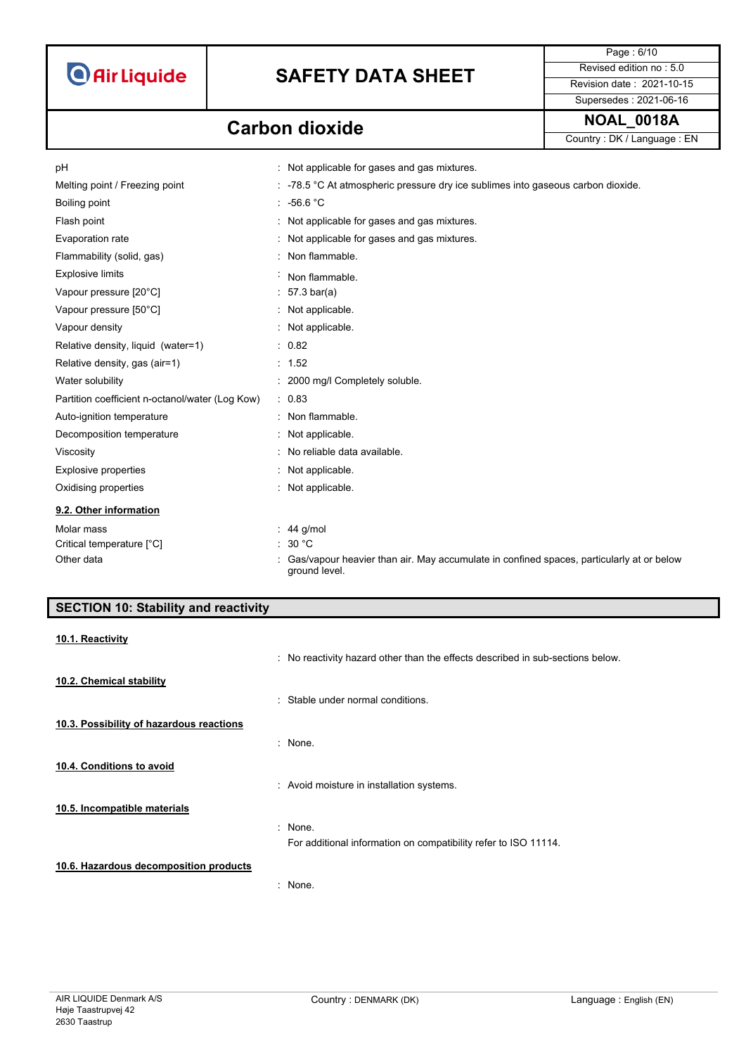

Page : 6/10 Supersedes : 2021-06-16

## **NOAL\_0018A Carbon dioxide**

Country : DK / Language : EN

| рH                                              | Not applicable for gases and gas mixtures.                                                                |
|-------------------------------------------------|-----------------------------------------------------------------------------------------------------------|
| Melting point / Freezing point                  | : -78.5 °C At atmospheric pressure dry ice sublimes into gaseous carbon dioxide.                          |
| Boiling point                                   | : 56.6 °C                                                                                                 |
| Flash point                                     | Not applicable for gases and gas mixtures.                                                                |
| Evaporation rate                                | : Not applicable for gases and gas mixtures.                                                              |
| Flammability (solid, gas)                       | : Non flammable.                                                                                          |
| <b>Explosive limits</b>                         | Non flammable.                                                                                            |
| Vapour pressure [20°C]                          | $57.3 \text{ bar(a)}$                                                                                     |
| Vapour pressure [50°C]                          | : Not applicable.                                                                                         |
| Vapour density                                  | : Not applicable.                                                                                         |
| Relative density, liquid (water=1)              | : 0.82                                                                                                    |
| Relative density, gas (air=1)                   | : 1.52                                                                                                    |
| Water solubility                                | : 2000 mg/l Completely soluble.                                                                           |
| Partition coefficient n-octanol/water (Log Kow) | : 0.83                                                                                                    |
| Auto-ignition temperature                       | : Non flammable.                                                                                          |
| Decomposition temperature                       | : Not applicable.                                                                                         |
| Viscosity                                       | : No reliable data available.                                                                             |
| <b>Explosive properties</b>                     | Not applicable.                                                                                           |
| Oxidising properties                            | : Not applicable.                                                                                         |
| 9.2. Other information                          |                                                                                                           |
| Molar mass                                      | $: 44$ g/mol                                                                                              |
| Critical temperature [°C]                       | : 30 °C                                                                                                   |
| Other data                                      | Gas/vapour heavier than air. May accumulate in confined spaces, particularly at or below<br>ground level. |

| <b>SECTION 10: Stability and reactivity</b> |  |  |
|---------------------------------------------|--|--|
|                                             |  |  |

| 10.1. Reactivity                         |                                                                                |
|------------------------------------------|--------------------------------------------------------------------------------|
|                                          | . No reactivity hazard other than the effects described in sub-sections below. |
| 10.2. Chemical stability                 |                                                                                |
|                                          | : Stable under normal conditions.                                              |
| 10.3. Possibility of hazardous reactions |                                                                                |
|                                          | : None.                                                                        |
| 10.4. Conditions to avoid                |                                                                                |
|                                          | : Avoid moisture in installation systems.                                      |
| 10.5. Incompatible materials             |                                                                                |
|                                          | : None.                                                                        |
|                                          | For additional information on compatibility refer to ISO 11114.                |
| 10.6. Hazardous decomposition products   |                                                                                |
|                                          | : None.                                                                        |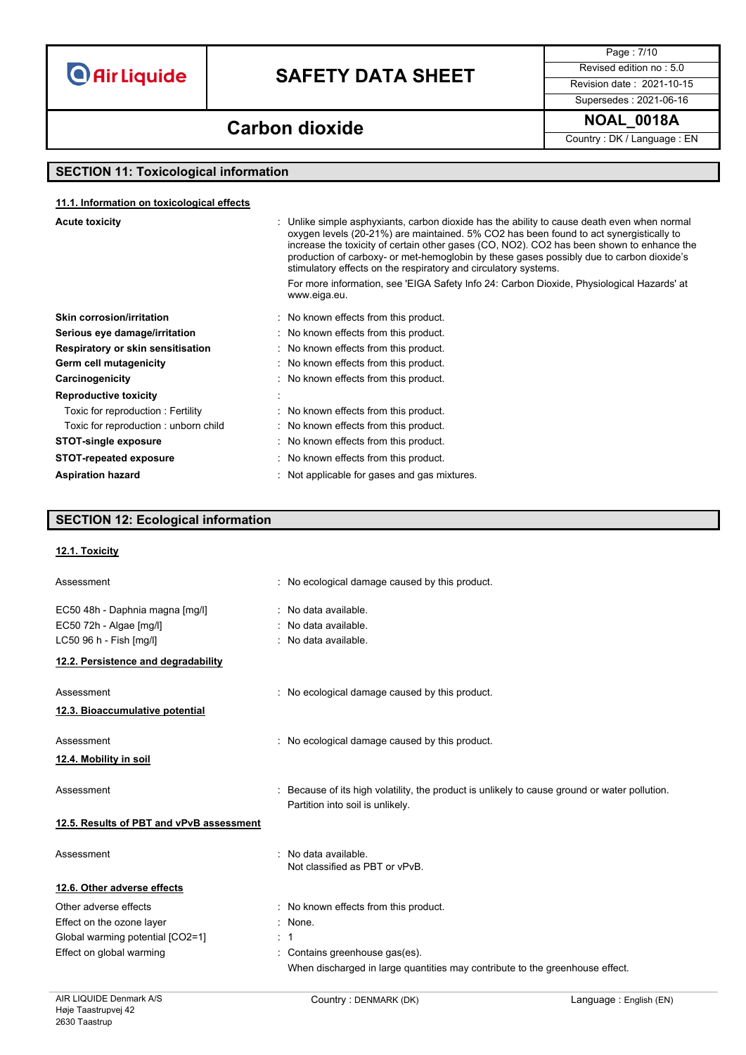# **SAFETY DATA SHEET** Revised edition no : 5.0

Page : 7/10

Supersedes : 2021-06-16

## **Carbon dioxide NOAL\_0018A**

Country : DK / Language : EN

### **SECTION 11: Toxicological information**

#### **11.1. Information on toxicological effects**

| <b>Acute toxicity</b>                | : Unlike simple asphyxiants, carbon dioxide has the ability to cause death even when normal<br>oxygen levels (20-21%) are maintained. 5% CO2 has been found to act synergistically to<br>increase the toxicity of certain other gases (CO, NO2). CO2 has been shown to enhance the<br>production of carboxy- or met-hemoglobin by these gases possibly due to carbon dioxide's<br>stimulatory effects on the respiratory and circulatory systems.<br>For more information, see 'EIGA Safety Info 24: Carbon Dioxide, Physiological Hazards' at<br>www.eiga.eu. |
|--------------------------------------|----------------------------------------------------------------------------------------------------------------------------------------------------------------------------------------------------------------------------------------------------------------------------------------------------------------------------------------------------------------------------------------------------------------------------------------------------------------------------------------------------------------------------------------------------------------|
|                                      |                                                                                                                                                                                                                                                                                                                                                                                                                                                                                                                                                                |
| <b>Skin corrosion/irritation</b>     | : No known effects from this product.                                                                                                                                                                                                                                                                                                                                                                                                                                                                                                                          |
| Serious eye damage/irritation        | : No known effects from this product.                                                                                                                                                                                                                                                                                                                                                                                                                                                                                                                          |
| Respiratory or skin sensitisation    | : No known effects from this product.                                                                                                                                                                                                                                                                                                                                                                                                                                                                                                                          |
| Germ cell mutagenicity               | No known effects from this product.                                                                                                                                                                                                                                                                                                                                                                                                                                                                                                                            |
| Carcinogenicity                      | No known effects from this product.                                                                                                                                                                                                                                                                                                                                                                                                                                                                                                                            |
| <b>Reproductive toxicity</b>         |                                                                                                                                                                                                                                                                                                                                                                                                                                                                                                                                                                |
| Toxic for reproduction: Fertility    | : No known effects from this product.                                                                                                                                                                                                                                                                                                                                                                                                                                                                                                                          |
| Toxic for reproduction: unborn child | : No known effects from this product.                                                                                                                                                                                                                                                                                                                                                                                                                                                                                                                          |
| <b>STOT-single exposure</b>          | : No known effects from this product.                                                                                                                                                                                                                                                                                                                                                                                                                                                                                                                          |
| <b>STOT-repeated exposure</b>        | : No known effects from this product.                                                                                                                                                                                                                                                                                                                                                                                                                                                                                                                          |
| <b>Aspiration hazard</b>             | : Not applicable for gases and gas mixtures.                                                                                                                                                                                                                                                                                                                                                                                                                                                                                                                   |

### **SECTION 12: Ecological information**

#### **12.1. Toxicity**

| Assessment                                                 | : No ecological damage caused by this product.                                                                                    |
|------------------------------------------------------------|-----------------------------------------------------------------------------------------------------------------------------------|
| EC50 48h - Daphnia magna [mg/l]<br>EC50 72h - Algae [mg/l] | : No data available.<br>: No data available.                                                                                      |
| LC50 96 h - Fish [mg/l]                                    | : No data available.                                                                                                              |
| 12.2. Persistence and degradability                        |                                                                                                                                   |
| Assessment                                                 | : No ecological damage caused by this product.                                                                                    |
| 12.3. Bioaccumulative potential                            |                                                                                                                                   |
| Assessment                                                 | : No ecological damage caused by this product.                                                                                    |
| 12.4. Mobility in soil                                     |                                                                                                                                   |
| Assessment                                                 | : Because of its high volatility, the product is unlikely to cause ground or water pollution.<br>Partition into soil is unlikely. |
| 12.5. Results of PBT and vPvB assessment                   |                                                                                                                                   |
| Assessment                                                 | : No data available.<br>Not classified as PBT or vPvB.                                                                            |
| 12.6. Other adverse effects                                |                                                                                                                                   |
| Other adverse effects                                      | : No known effects from this product.                                                                                             |
| Effect on the ozone layer                                  | $:$ None.                                                                                                                         |
| Global warming potential [CO2=1]                           | : 1                                                                                                                               |
| Effect on global warming                                   | : Contains greenhouse gas(es).                                                                                                    |
|                                                            | When discharged in large quantities may contribute to the greenhouse effect.                                                      |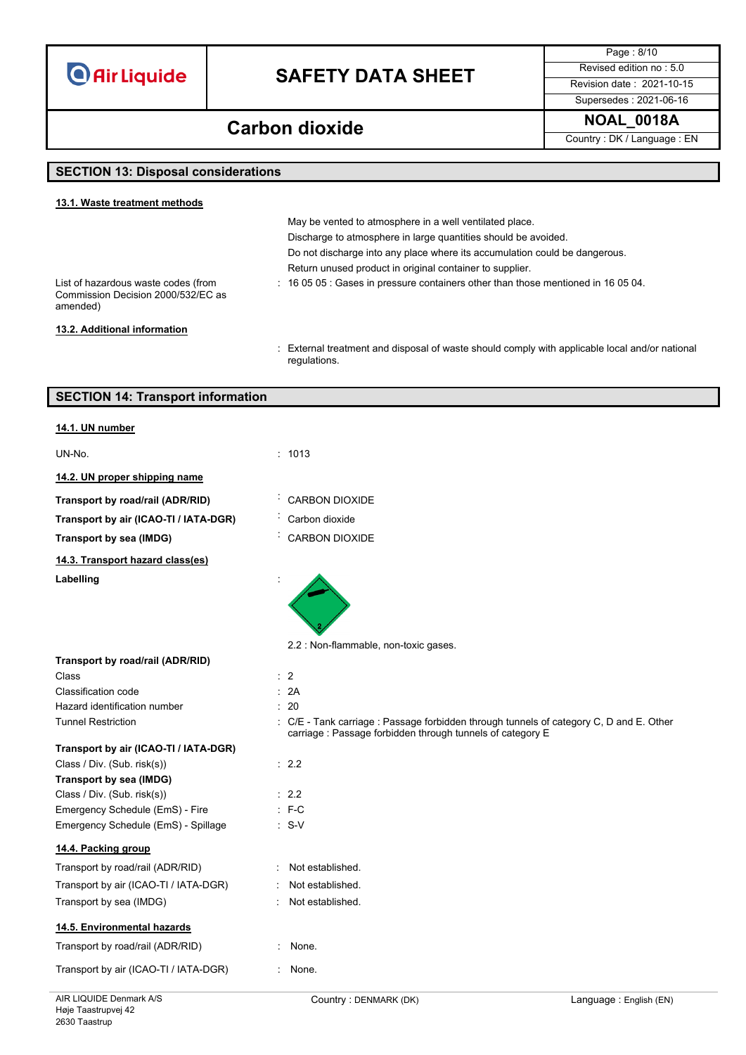# **SAFETY DATA SHEET** Revised edition no : 5.0

Page : 8/10 Supersedes : 2021-06-16

**NOAL\_0018A Carbon dioxide**

Country : DK / Language : EN

### **SECTION 13: Disposal considerations**

| 13.1. Waste treatment methods                                                         |                                                                                                         |
|---------------------------------------------------------------------------------------|---------------------------------------------------------------------------------------------------------|
|                                                                                       | May be vented to atmosphere in a well ventilated place.                                                 |
|                                                                                       | Discharge to atmosphere in large quantities should be avoided.                                          |
|                                                                                       | Do not discharge into any place where its accumulation could be dangerous.                              |
|                                                                                       | Return unused product in original container to supplier.                                                |
| List of hazardous waste codes (from<br>Commission Decision 2000/532/EC as<br>amended) | $\therefore$ 16 05 05 $\therefore$ Gases in pressure containers other than those mentioned in 16 05 04. |
| 13.2. Additional information                                                          |                                                                                                         |
|                                                                                       | External treatment and disposal of waste should comply with applicable local and/or national            |

regulations.

| <b>SECTION 14: Transport information</b> |                                                                                                                                                       |
|------------------------------------------|-------------------------------------------------------------------------------------------------------------------------------------------------------|
| 14.1. UN number                          |                                                                                                                                                       |
| UN-No.                                   | : 1013                                                                                                                                                |
| 14.2. UN proper shipping name            |                                                                                                                                                       |
| Transport by road/rail (ADR/RID)         | CARBON DIOXIDE                                                                                                                                        |
| Transport by air (ICAO-TI / IATA-DGR)    | Carbon dioxide                                                                                                                                        |
| <b>Transport by sea (IMDG)</b>           | CARBON DIOXIDE                                                                                                                                        |
| 14.3. Transport hazard class(es)         |                                                                                                                                                       |
| Labelling                                |                                                                                                                                                       |
|                                          | 2.2 : Non-flammable, non-toxic gases.                                                                                                                 |
| Transport by road/rail (ADR/RID)         |                                                                                                                                                       |
| Class                                    | $\therefore$ 2                                                                                                                                        |
| <b>Classification code</b>               | : 2A                                                                                                                                                  |
| Hazard identification number             | : 20                                                                                                                                                  |
| <b>Tunnel Restriction</b>                | : C/E - Tank carriage : Passage forbidden through tunnels of category C, D and E. Other<br>carriage : Passage forbidden through tunnels of category E |
| Transport by air (ICAO-TI / IATA-DGR)    |                                                                                                                                                       |
| Class / Div. (Sub. risk(s))              | $\therefore$ 2.2                                                                                                                                      |
| <b>Transport by sea (IMDG)</b>           |                                                                                                                                                       |
| Class / Div. (Sub. risk(s))              | : 2.2                                                                                                                                                 |
| Emergency Schedule (EmS) - Fire          | $: F-C$                                                                                                                                               |
| Emergency Schedule (EmS) - Spillage      | $: S-V$                                                                                                                                               |
| 14.4. Packing group                      |                                                                                                                                                       |
| Transport by road/rail (ADR/RID)         | Not established.                                                                                                                                      |
| Transport by air (ICAO-TI / IATA-DGR)    | Not established.                                                                                                                                      |
| Transport by sea (IMDG)                  | Not established.                                                                                                                                      |
| 14.5. Environmental hazards              |                                                                                                                                                       |
| Transport by road/rail (ADR/RID)         | None.                                                                                                                                                 |
| Transport by air (ICAO-TI / IATA-DGR)    | None.                                                                                                                                                 |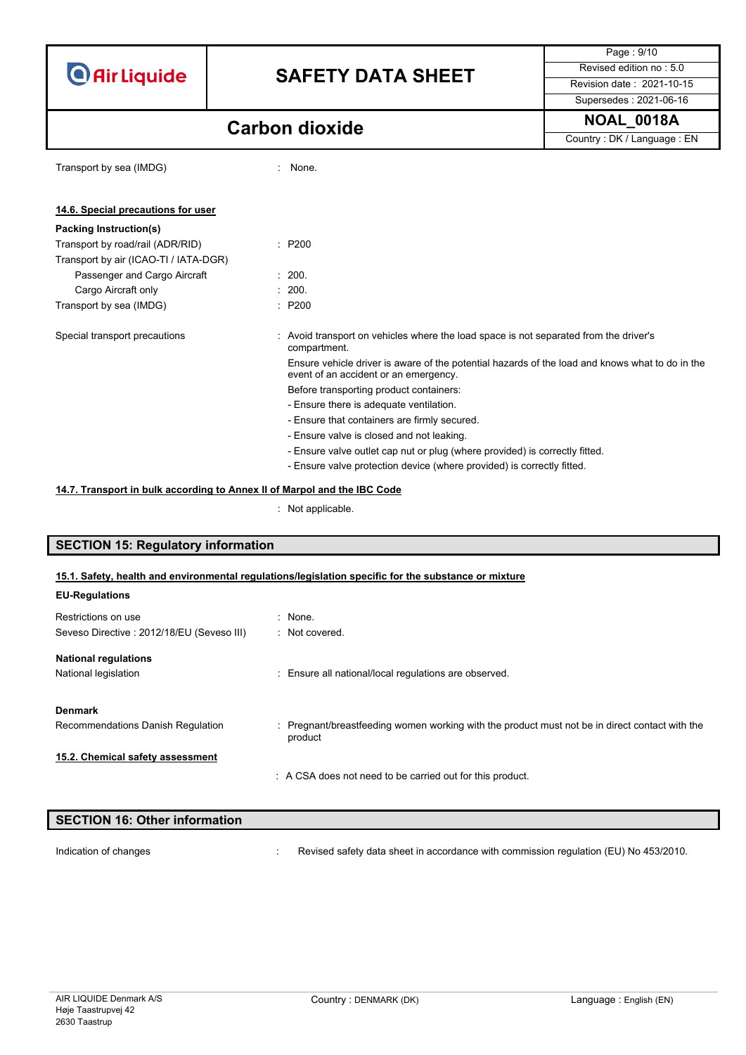# **SAFETY DATA SHEET** Revised edition no : 5.0

Page : 9/10 Supersedes : 2021-06-16

## **NOAL\_0018A Carbon dioxide**

Country : DK / Language : EN

| Transport by sea (IMDG)               | : None.                                                                                                                                  |
|---------------------------------------|------------------------------------------------------------------------------------------------------------------------------------------|
| 14.6. Special precautions for user    |                                                                                                                                          |
| Packing Instruction(s)                |                                                                                                                                          |
| Transport by road/rail (ADR/RID)      | $\therefore$ P200                                                                                                                        |
| Transport by air (ICAO-TI / IATA-DGR) |                                                                                                                                          |
| Passenger and Cargo Aircraft          | : 200.                                                                                                                                   |
| Cargo Aircraft only                   | : 200.                                                                                                                                   |
| Transport by sea (IMDG)               | $\therefore$ P200                                                                                                                        |
| Special transport precautions         | : Avoid transport on vehicles where the load space is not separated from the driver's<br>compartment.                                    |
|                                       | Ensure vehicle driver is aware of the potential hazards of the load and knows what to do in the<br>event of an accident or an emergency. |
|                                       | Before transporting product containers:                                                                                                  |
|                                       | - Ensure there is adequate ventilation.                                                                                                  |
|                                       | - Ensure that containers are firmly secured.                                                                                             |
|                                       | - Ensure valve is closed and not leaking.                                                                                                |
|                                       | - Ensure valve outlet cap nut or plug (where provided) is correctly fitted.                                                              |
|                                       | - Ensure valve protection device (where provided) is correctly fitted.                                                                   |

### **14.7. Transport in bulk according to Annex II of Marpol and the IBC Code**

: Not applicable.

### **SECTION 15: Regulatory information**

### **15.1. Safety, health and environmental regulations/legislation specific for the substance or mixture**

| <b>EU-Regulations</b>                                            |                                                                                                           |
|------------------------------------------------------------------|-----------------------------------------------------------------------------------------------------------|
| Restrictions on use<br>Seveso Directive: 2012/18/EU (Seveso III) | $:$ None.<br>: Not covered.                                                                               |
| <b>National regulations</b><br>National legislation              | : Ensure all national/local regulations are observed.                                                     |
| <b>Denmark</b><br>Recommendations Danish Regulation              | : Pregnant/breastfeeding women working with the product must not be in direct contact with the<br>product |
| 15.2. Chemical safety assessment                                 | : A CSA does not need to be carried out for this product.                                                 |

| <b>SECTION 16: Other information</b> |                                                                                      |
|--------------------------------------|--------------------------------------------------------------------------------------|
|                                      | Revised safety data sheet in accordance with commission regulation (EU) No 453/2010. |
| Indication of changes                |                                                                                      |